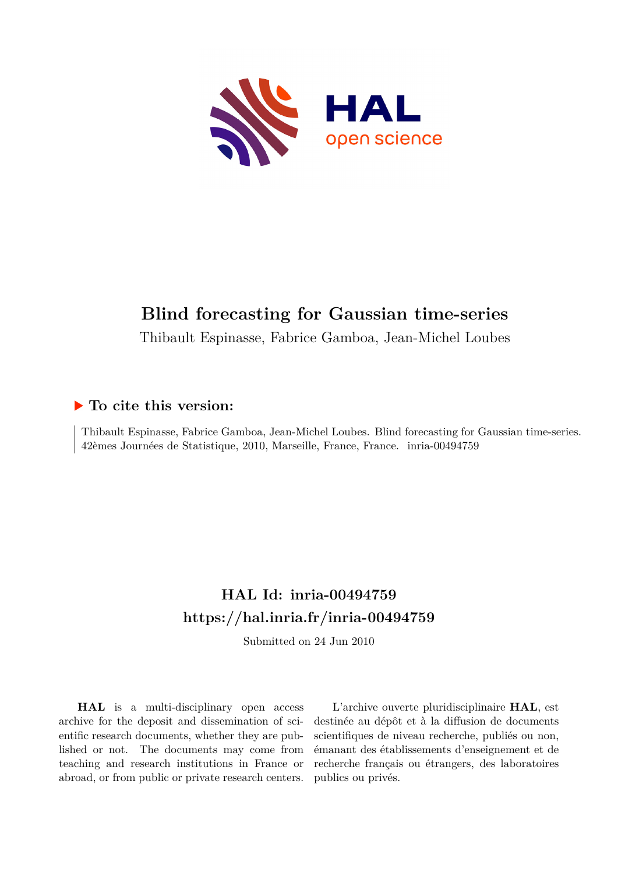

# **Blind forecasting for Gaussian time-series**

Thibault Espinasse, Fabrice Gamboa, Jean-Michel Loubes

#### **To cite this version:**

Thibault Espinasse, Fabrice Gamboa, Jean-Michel Loubes. Blind forecasting for Gaussian time-series. 42èmes Journées de Statistique, 2010, Marseille, France, France. inria-00494759

## **HAL Id: inria-00494759 <https://hal.inria.fr/inria-00494759>**

Submitted on 24 Jun 2010

**HAL** is a multi-disciplinary open access archive for the deposit and dissemination of scientific research documents, whether they are published or not. The documents may come from teaching and research institutions in France or abroad, or from public or private research centers.

L'archive ouverte pluridisciplinaire **HAL**, est destinée au dépôt et à la diffusion de documents scientifiques de niveau recherche, publiés ou non, émanant des établissements d'enseignement et de recherche français ou étrangers, des laboratoires publics ou privés.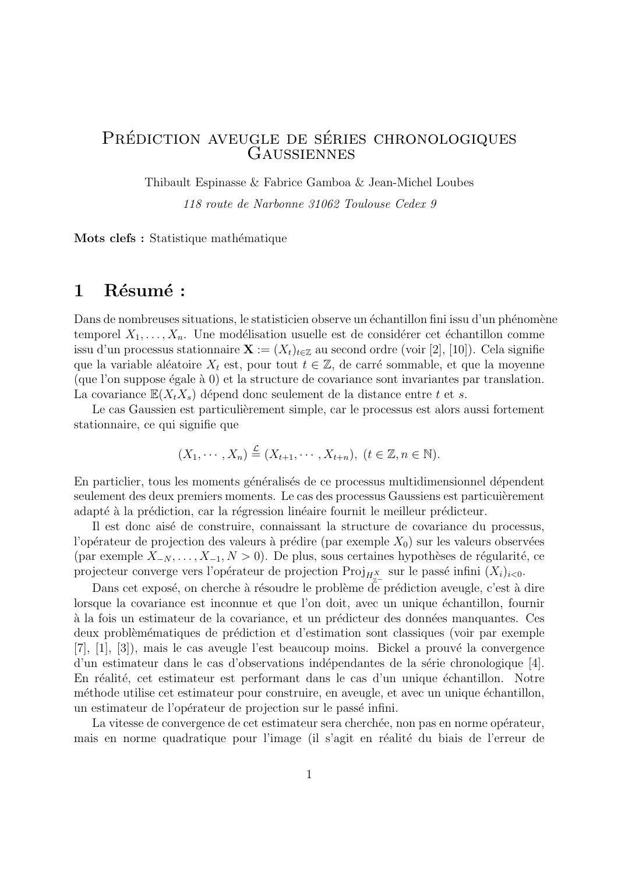#### PRÉDICTION AVEUGLE DE SÉRIES CHRONOLOGIQUES **GAUSSIENNES**

Thibault Espinasse & Fabrice Gamboa & Jean-Michel Loubes

*118 route de Narbonne 31062 Toulouse Cedex 9*

**Mots clefs :** Statistique mathématique

#### 1 Résumé :

Dans de nombreuses situations, le statisticien observe un échantillon fini issu d'un phénomène temporel  $X_1, \ldots, X_n$ . Une modélisation usuelle est de considérer cet échantillon comme issu d'un processus stationnaire  $\mathbf{X} := (X_t)_{t \in \mathbb{Z}}$  au second ordre (voir [2], [10]). Cela signifie que la variable aléatoire  $X_t$  est, pour tout  $t \in \mathbb{Z}$ , de carré sommable, et que la moyenne  $(\text{que l'on suppose égale à 0})$  et la structure de covariance sont invariantes par translation. La covariance  $\mathbb{E}(X_t X_s)$  dépend donc seulement de la distance entre t et s.

Le cas Gaussien est particulièrement simple, car le processus est alors aussi fortement stationnaire, ce qui signifie que

$$
(X_1,\cdots,X_n)\stackrel{\mathcal{L}}{=} (X_{t+1},\cdots,X_{t+n}),\ (t\in\mathbb{Z},n\in\mathbb{N}).
$$

En particlier, tous les moments généralisés de ce processus multidimensionnel dépendent seulement des deux premiers moments. Le cas des processus Gaussiens est particuièrement adapté à la prédiction, car la régression linéaire fournit le meilleur prédicteur.

Il est donc aisé de construire, connaissant la structure de covariance du processus, l'opérateur de projection des valeurs à prédire (par exemple  $X_0$ ) sur les valeurs observées (par exemple *X*<sub>−*N*</sub>,..., *X*<sub>−1</sub>, *N* > 0). De plus, sous certaines hypothèses de régularité, ce projecteur converge vers l'opérateur de projection Proj<sub>H<sup>*x*</sup></sup><sub>z</sub> sur le passé infini  $(X_i)_{i<0}$ .</sub>

Dans cet exposé, on cherche à résoudre le problème de prédiction aveugle, c'est à dire lorsque la covariance est inconnue et que l'on doit, avec un unique échantillon, fournir à la fois un estimateur de la covariance, et un prédicteur des données manquantes. Ces deux problèmématiques de prédiction et d'estimation sont classiques (voir par exemple  $[7], [1], [3]$ , mais le cas aveugle l'est beaucoup moins. Bickel a prouvé la convergence d'un estimateur dans le cas d'observations indépendantes de la série chronologique [4]. En réalité, cet estimateur est performant dans le cas d'un unique échantillon. Notre méthode utilise cet estimateur pour construire, en aveugle, et avec un unique échantillon, un estimateur de l'opérateur de projection sur le passé infini.

La vitesse de convergence de cet estimateur sera cherchée, non pas en norme opérateur, mais en norme quadratique pour l'image (il s'agit en réalité du biais de l'erreur de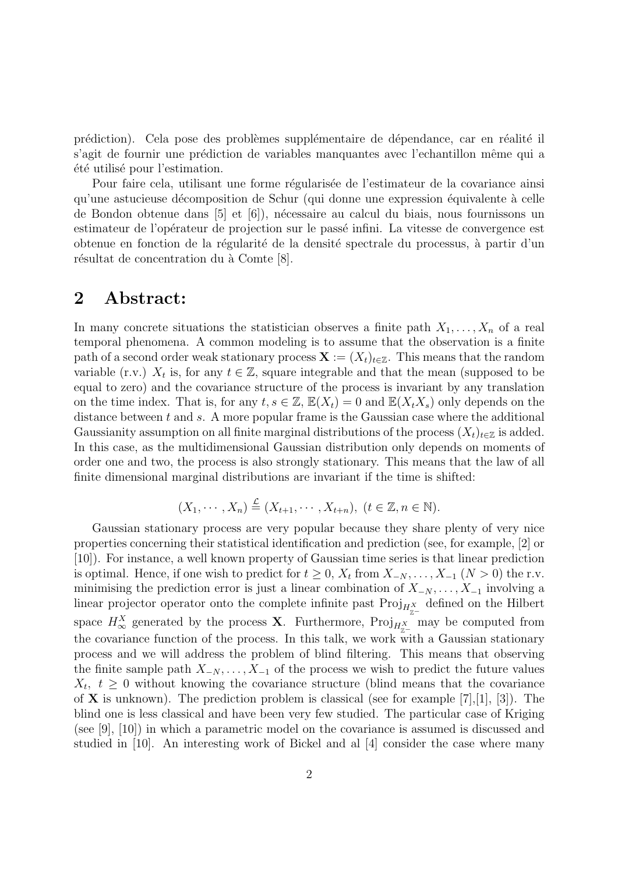prédiction). Cela pose des problèmes supplémentaire de dépendance, car en réalité il s'agit de fournir une prédiction de variables manquantes avec l'echantillon même qui a  $\acute{e}t\acute{e}$  utilisé pour l'estimation.

Pour faire cela, utilisant une forme régularisée de l'estimateur de la covariance ainsi qu'une astucieuse décomposition de Schur (qui donne une expression équivalente à celle de Bondon obtenue dans [5] et [6]), n´ecessaire au calcul du biais, nous fournissons un estimateur de l'opérateur de projection sur le passé infini. La vitesse de convergence est obtenue en fonction de la régularité de la densité spectrale du processus, à partir d'un résultat de concentration du à Comte [8].

#### **2 Abstract:**

In many concrete situations the statistician observes a finite path  $X_1, \ldots, X_n$  of a real temporal phenomena. A common modeling is to assume that the observation is a finite path of a second order weak stationary process  $\mathbf{X} := (X_t)_{t \in \mathbb{Z}}$ . This means that the random variable (r.v.)  $X_t$  is, for any  $t \in \mathbb{Z}$ , square integrable and that the mean (supposed to be equal to zero) and the covariance structure of the process is invariant by any translation on the time index. That is, for any  $t, s \in \mathbb{Z}$ ,  $\mathbb{E}(X_t) = 0$  and  $\mathbb{E}(X_t X_s)$  only depends on the distance between *t* and *s*. A more popular frame is the Gaussian case where the additional Gaussianity assumption on all finite marginal distributions of the process  $(X_t)_{t \in \mathbb{Z}}$  is added. In this case, as the multidimensional Gaussian distribution only depends on moments of order one and two, the process is also strongly stationary. This means that the law of all finite dimensional marginal distributions are invariant if the time is shifted:

$$
(X_1,\cdots,X_n)\stackrel{\mathcal{L}}{=} (X_{t+1},\cdots,X_{t+n}),\ (t\in\mathbb{Z},n\in\mathbb{N}).
$$

Gaussian stationary process are very popular because they share plenty of very nice properties concerning their statistical identification and prediction (see, for example, [2] or [10]). For instance, a well known property of Gaussian time series is that linear prediction is optimal. Hence, if one wish to predict for  $t \geq 0$ ,  $X_t$  from  $X_{-N}$ , ...,  $X_{-1}$  ( $N > 0$ ) the r.v. minimising the prediction error is just a linear combination of  $X_{-N}, \ldots, X_{-1}$  involving a linear projector operator onto the complete infinite past  $\text{Proj}_{H_{\pi^-}^X}$  defined on the Hilbert space  $H_{\infty}^X$  generated by the process **X**. Furthermore, Proj<sub>H<sup>X</sup><sub>Z</sub>−</sub> may be computed from the covariance function of the process. In this talk, we work with a Gaussian stationary process and we will address the problem of blind filtering. This means that observing the finite sample path  $X_{-N}$ , ...,  $X_{-1}$  of the process we wish to predict the future values  $X_t, t \geq 0$  without knowing the covariance structure (blind means that the covariance of **X** is unknown). The prediction problem is classical (see for example [7],[1], [3]). The blind one is less classical and have been very few studied. The particular case of Kriging (see [9], [10]) in which a parametric model on the covariance is assumed is discussed and studied in [10]. An interesting work of Bickel and al [4] consider the case where many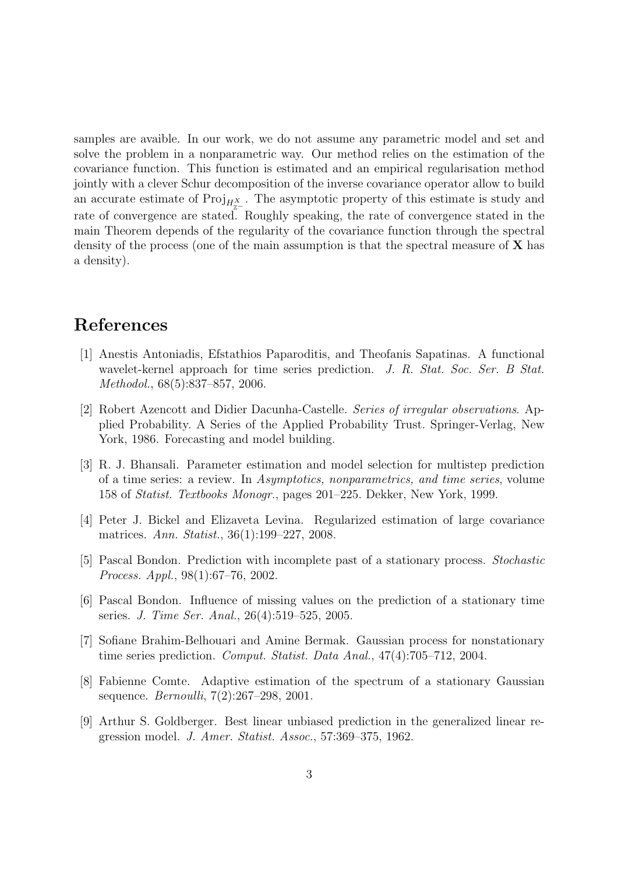samples are avaible. In our work, we do not assume any parametric model and set and solve the problem in a nonparametric way. Our method relies on the estimation of the covariance function. This function is estimated and an empirical regularisation method jointly with a clever Schur decomposition of the inverse covariance operator allow to build an accurate estimate of  $\text{Proj}_{H_{\pi^-}}$ . The asymptotic property of this estimate is study and rate of convergence are stated. Roughly speaking, the rate of convergence stated in the main Theorem depends of the regularity of the covariance function through the spectral density of the process (one of the main assumption is that the spectral measure of **X** has a density).

### **References**

- [1] Anestis Antoniadis, Efstathios Paparoditis, and Theofanis Sapatinas. A functional wavelet-kernel approach for time series prediction. *J. R. Stat. Soc. Ser. B Stat. Methodol.*, 68(5):837–857, 2006.
- [2] Robert Azencott and Didier Dacunha-Castelle. *Series of irregular observations*. Applied Probability. A Series of the Applied Probability Trust. Springer-Verlag, New York, 1986. Forecasting and model building.
- [3] R. J. Bhansali. Parameter estimation and model selection for multistep prediction of a time series: a review. In *Asymptotics, nonparametrics, and time series*, volume 158 of *Statist. Textbooks Monogr.*, pages 201–225. Dekker, New York, 1999.
- [4] Peter J. Bickel and Elizaveta Levina. Regularized estimation of large covariance matrices. *Ann. Statist.*, 36(1):199–227, 2008.
- [5] Pascal Bondon. Prediction with incomplete past of a stationary process. *Stochastic Process. Appl.*, 98(1):67–76, 2002.
- [6] Pascal Bondon. Influence of missing values on the prediction of a stationary time series. *J. Time Ser. Anal.*, 26(4):519–525, 2005.
- [7] Sofiane Brahim-Belhouari and Amine Bermak. Gaussian process for nonstationary time series prediction. *Comput. Statist. Data Anal.*, 47(4):705–712, 2004.
- [8] Fabienne Comte. Adaptive estimation of the spectrum of a stationary Gaussian sequence. *Bernoulli*, 7(2):267–298, 2001.
- [9] Arthur S. Goldberger. Best linear unbiased prediction in the generalized linear regression model. *J. Amer. Statist. Assoc.*, 57:369–375, 1962.